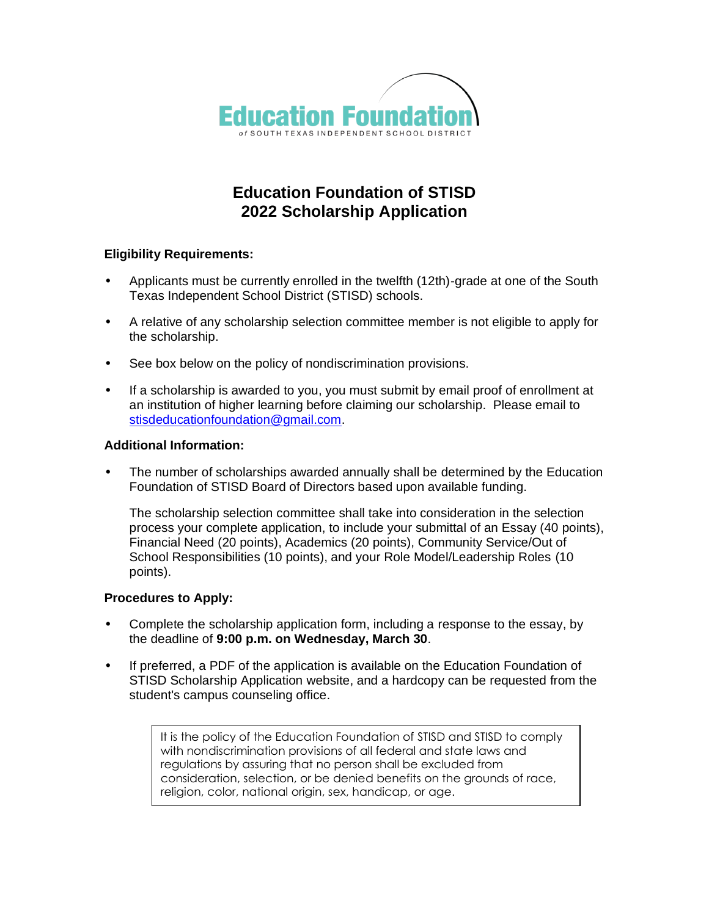

# **Education Foundation of STISD 2022 Scholarship Application**

### **Eligibility Requirements:**

- Applicants must be currently enrolled in the twelfth (12th)-grade at one of the South Texas Independent School District (STISD) schools.
- A relative of any scholarship selection committee member is not eligible to apply for the scholarship.
- See box below on the policy of nondiscrimination provisions.
- If a scholarship is awarded to you, you must submit by email proof of enrollment at an institution of higher learning before claiming our scholarship. Please email to [stisdeducationfoundation@gmail.com.](mailto:stisdeducationfoundation@gmail.com)

### **Additional Information:**

• The number of scholarships awarded annually shall be determined by the Education Foundation of STISD Board of Directors based upon available funding.

The scholarship selection committee shall take into consideration in the selection process your complete application, to include your submittal of an Essay (40 points), Financial Need (20 points), Academics (20 points), Community Service/Out of School Responsibilities (10 points), and your Role Model/Leadership Roles (10 points).

#### **Procedures to Apply:**

- Complete the scholarship application form, including a response to the essay, by the deadline of **9:00 p.m. on Wednesday, March 30**.
- If preferred, a PDF of the application is available on the Education Foundation of STISD Scholarship Application website, and a hardcopy can be requested from the student's campus counseling office.

It is the policy of the Education Foundation of STISD and STISD to comply with nondiscrimination provisions of all federal and state laws and regulations by assuring that no person shall be excluded from consideration, selection, or be denied benefits on the grounds of race, religion, color, national origin, sex, handicap, or age.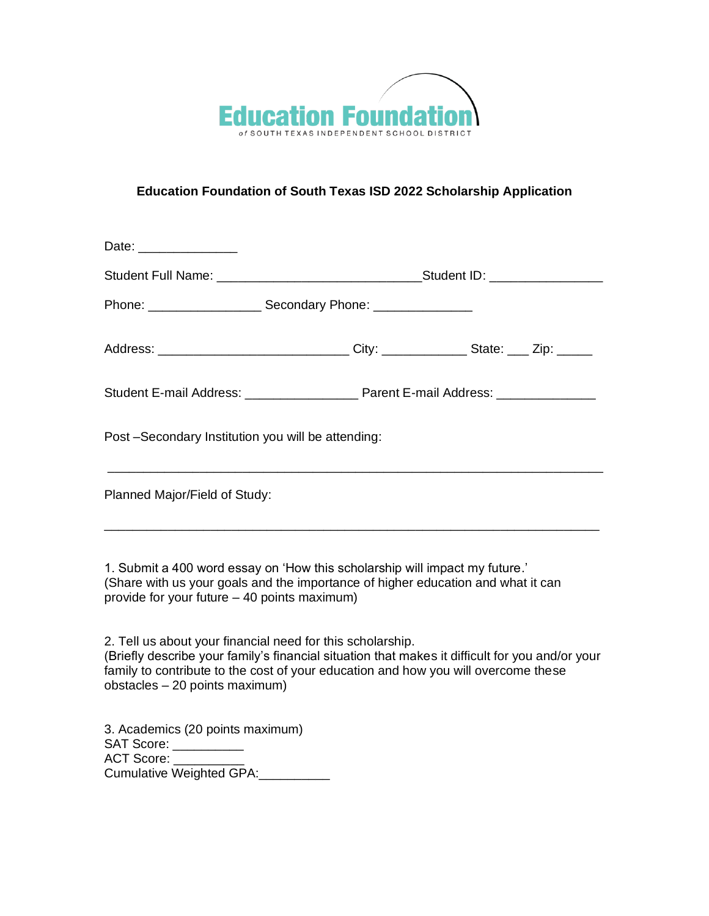

## **Education Foundation of South Texas ISD 2022 Scholarship Application**

| Date: _______________                              |                                                                                                                                                                                                      |
|----------------------------------------------------|------------------------------------------------------------------------------------------------------------------------------------------------------------------------------------------------------|
|                                                    |                                                                                                                                                                                                      |
|                                                    |                                                                                                                                                                                                      |
|                                                    | Address: _________________________________City: _______________State: ____ Zip: ______                                                                                                               |
|                                                    |                                                                                                                                                                                                      |
| Post -Secondary Institution you will be attending: |                                                                                                                                                                                                      |
| Planned Major/Field of Study:                      |                                                                                                                                                                                                      |
|                                                    |                                                                                                                                                                                                      |
|                                                    | 1. Submit a 400 word essay on 'How this scholarship will impact my future.'<br>$\ell$ . The contribution of the contribution of the contribution of the contribution of the contribution of $\ell$ . |

(Share with us your goals and the importance of higher education and what it can provide for your future – 40 points maximum)

2. Tell us about your financial need for this scholarship.

(Briefly describe your family's financial situation that makes it difficult for you and/or your family to contribute to the cost of your education and how you will overcome these obstacles – 20 points maximum)

3. Academics (20 points maximum) SAT Score: \_\_\_\_\_\_\_\_\_\_\_ ACT Score: \_ Cumulative Weighted GPA:\_\_\_\_\_\_\_\_\_\_